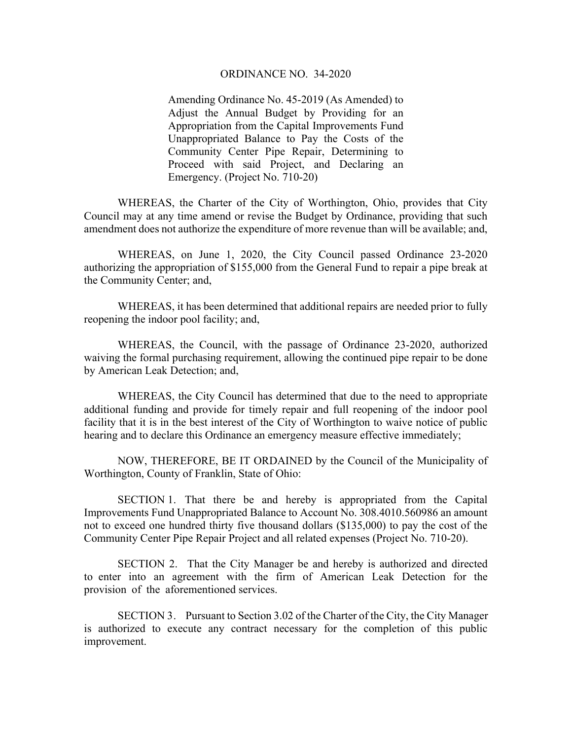## ORDINANCE NO. 34-2020

Amending Ordinance No. 45-2019 (As Amended) to Adjust the Annual Budget by Providing for an Appropriation from the Capital Improvements Fund Unappropriated Balance to Pay the Costs of the Community Center Pipe Repair, Determining to Proceed with said Project, and Declaring an Emergency. (Project No. 710-20)

WHEREAS, the Charter of the City of Worthington, Ohio, provides that City Council may at any time amend or revise the Budget by Ordinance, providing that such amendment does not authorize the expenditure of more revenue than will be available; and,

WHEREAS, on June 1, 2020, the City Council passed Ordinance 23-2020 authorizing the appropriation of \$155,000 from the General Fund to repair a pipe break at the Community Center; and,

WHEREAS, it has been determined that additional repairs are needed prior to fully reopening the indoor pool facility; and,

WHEREAS, the Council, with the passage of Ordinance 23-2020, authorized waiving the formal purchasing requirement, allowing the continued pipe repair to be done by American Leak Detection; and,

WHEREAS, the City Council has determined that due to the need to appropriate additional funding and provide for timely repair and full reopening of the indoor pool facility that it is in the best interest of the City of Worthington to waive notice of public hearing and to declare this Ordinance an emergency measure effective immediately;

NOW, THEREFORE, BE IT ORDAINED by the Council of the Municipality of Worthington, County of Franklin, State of Ohio:

SECTION 1. That there be and hereby is appropriated from the Capital Improvements Fund Unappropriated Balance to Account No. 308.4010.560986 an amount not to exceed one hundred thirty five thousand dollars (\$135,000) to pay the cost of the Community Center Pipe Repair Project and all related expenses (Project No. 710-20).

SECTION 2. That the City Manager be and hereby is authorized and directed to enter into an agreement with the firm of American Leak Detection for the provision of the aforementioned services.

SECTION 3. Pursuant to Section 3.02 of the Charter of the City, the City Manager is authorized to execute any contract necessary for the completion of this public improvement.